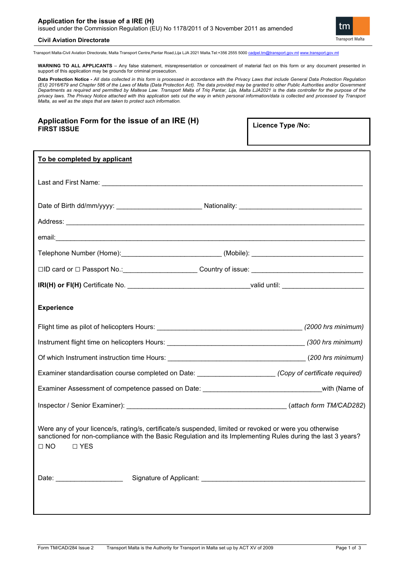

### **Civil Aviation Directorate**

Transport Malta-Civil Aviation Directorate, Malta Transport Centre,Pantar Road,Lija LJA 2021 Malta.Tel:+356 2555 5000 [cadpel.tm@transport.gov.mt](mailto:cadpel.tm@transport.gov.mt) [www.transport.gov.mt](http://www.transport.gov.mt/)

**WARNING TO ALL APPLICANTS** – Any false statement, misrepresentation or concealment of material fact on this form or any document presented in support of this application may be grounds for criminal prosecution.

**Data Protection Notice -** All data collected in this form is processed in accordance with the Privacy Laws that include General Data Protection Regulation<br>(EU) 2016/679 and Chapter 586 of the Laws of Malta (Data Protectio Departments as required and permitted by Maltese Law. Transport Malta of Triq Pantar, Lija, Malta LJA2021 is the data controller for the purpose of the *privacy laws. The Privacy Notice attached with this application sets out the way in which personal information/data is collected and processed by Transport Malta, as well as the steps that are taken to protect such information.*

# **Application Form for the issue of an IRE (H) FIRST ISSUE**

**Licence Type /No:** 

| To be completed by applicant                                                                                                                                                                                                                   |  |  |  |
|------------------------------------------------------------------------------------------------------------------------------------------------------------------------------------------------------------------------------------------------|--|--|--|
|                                                                                                                                                                                                                                                |  |  |  |
|                                                                                                                                                                                                                                                |  |  |  |
|                                                                                                                                                                                                                                                |  |  |  |
|                                                                                                                                                                                                                                                |  |  |  |
|                                                                                                                                                                                                                                                |  |  |  |
| □ID card or □ Passport No.: _________________________Country of issue: _________________________________                                                                                                                                       |  |  |  |
|                                                                                                                                                                                                                                                |  |  |  |
| <b>Experience</b>                                                                                                                                                                                                                              |  |  |  |
|                                                                                                                                                                                                                                                |  |  |  |
|                                                                                                                                                                                                                                                |  |  |  |
|                                                                                                                                                                                                                                                |  |  |  |
| Examiner standardisation course completed on Date: _______________________(Copy of certificate required)                                                                                                                                       |  |  |  |
| Examiner Assessment of competence passed on Date: __________________________________with (Name of                                                                                                                                              |  |  |  |
|                                                                                                                                                                                                                                                |  |  |  |
| Were any of your licence/s, rating/s, certificate/s suspended, limited or revoked or were you otherwise<br>sanctioned for non-compliance with the Basic Regulation and its Implementing Rules during the last 3 years?<br>$\Box$ NO $\Box$ YES |  |  |  |
| Date: _________________________                                                                                                                                                                                                                |  |  |  |
|                                                                                                                                                                                                                                                |  |  |  |
|                                                                                                                                                                                                                                                |  |  |  |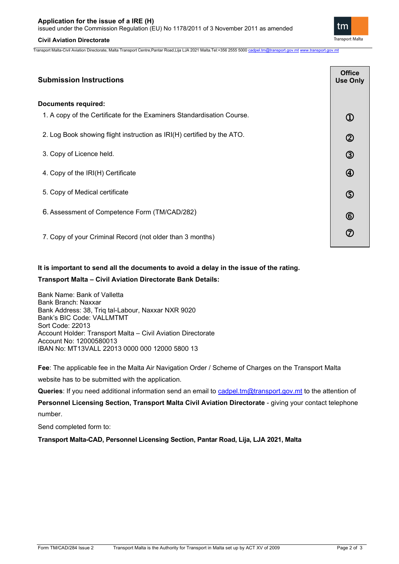## **Civil Aviation Directorate**

Transport Malta-Civil Aviation Directorate, Malta Transport Centre,Pantar Road,Lija LJA 2021 Malta.Tel:+356 2555 5000 [cadpel.tm@transport.gov.mt](mailto:cadpel.tm@transport.gov.mt) [www.transport.gov.mt](http://www.transport.gov.mt/)

| ubmission Instructions                                                 | <b>Office</b><br><b>Use Only</b> |  |
|------------------------------------------------------------------------|----------------------------------|--|
| ocuments required:                                                     |                                  |  |
| 1. A copy of the Certificate for the Examiners Standardisation Course. |                                  |  |
| 2. Log Book showing flight instruction as IRI(H) certified by the ATO. | $^\copyright$                    |  |
| 3. Copy of Licence held.                                               | ③                                |  |
| 4. Copy of the IRI(H) Certificate                                      |                                  |  |

|  | <b>Submission Instructions</b> |
|--|--------------------------------|
|--|--------------------------------|

5. Copy of Medical certificate

## **Documents required:**

6. Assessment of Competence Form (TM/CAD/282)

7. Copy of your Criminal Record (not older than 3 months)

# **It is important to send all the documents to avoid a delay in the issue of the rating.**

# **Transport Malta – Civil Aviation Directorate Bank Details:**

Bank Name: Bank of Valletta Bank Branch: Naxxar Bank Address: 38, Triq tal-Labour, Naxxar NXR 9020 Bank's BIC Code: VALLMTMT Sort Code: 22013 Account Holder: Transport Malta – Civil Aviation Directorate Account No: 12000580013 IBAN No: MT13VALL 22013 0000 000 12000 5800 13

**Fee**: The applicable fee in the Malta Air Navigation Order / Scheme of Charges on the Transport Malta website has to be submitted with the application.

**Queries**: If you need additional information send an email to [cadpel.tm@transport.gov.mt](mailto:cadpel.tm@transport.gov.mt) to the attention of

**Personnel Licensing Section, Transport Malta Civil Aviation Directorate** - giving your contact telephone number.

Send completed form to:

**Transport Malta-CAD, Personnel Licensing Section, Pantar Road, Lija, LJA 2021, Malta**



ග

 $\circled6$ 

⑦